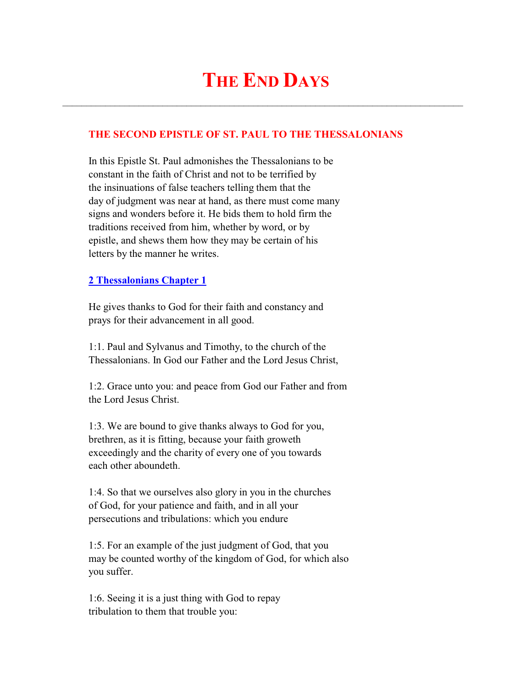# **THE END DAYS**

 $\mathcal{L}_\text{max}$  and  $\mathcal{L}_\text{max}$  and  $\mathcal{L}_\text{max}$  and  $\mathcal{L}_\text{max}$  and  $\mathcal{L}_\text{max}$  and  $\mathcal{L}_\text{max}$ 

## **THE SECOND EPISTLE OF ST. PAUL TO THE THESSALONIANS**

 In this Epistle St. Paul admonishes the Thessalonians to be constant in the faith of Christ and not to be terrified by the insinuations of false teachers telling them that the day of judgment was near at hand, as there must come many signs and wonders before it. He bids them to hold firm the traditions received from him, whether by word, or by epistle, and shews them how they may be certain of his letters by the manner he writes.

#### **2 Thessalonians Chapter 1**

 He gives thanks to God for their faith and constancy and prays for their advancement in all good.

 1:1. Paul and Sylvanus and Timothy, to the church of the Thessalonians. In God our Father and the Lord Jesus Christ,

 1:2. Grace unto you: and peace from God our Father and from the Lord Jesus Christ.

 1:3. We are bound to give thanks always to God for you, brethren, as it is fitting, because your faith groweth exceedingly and the charity of every one of you towards each other aboundeth.

 1:4. So that we ourselves also glory in you in the churches of God, for your patience and faith, and in all your persecutions and tribulations: which you endure

 1:5. For an example of the just judgment of God, that you may be counted worthy of the kingdom of God, for which also you suffer.

 1:6. Seeing it is a just thing with God to repay tribulation to them that trouble you: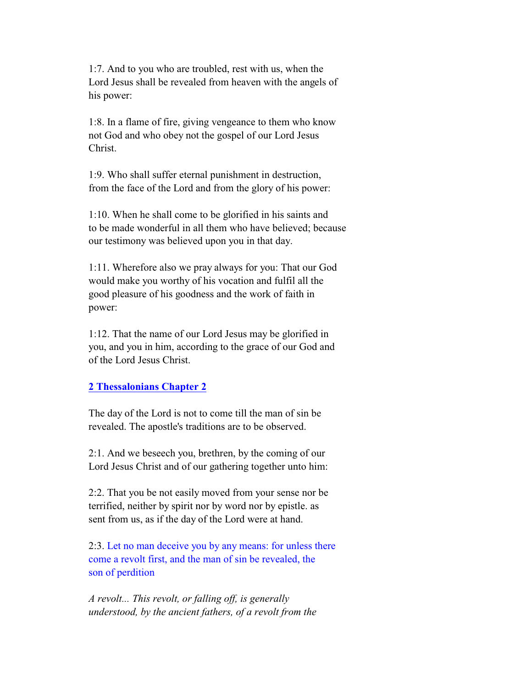1:7. And to you who are troubled, rest with us, when the Lord Jesus shall be revealed from heaven with the angels of his power:

 1:8. In a flame of fire, giving vengeance to them who know not God and who obey not the gospel of our Lord Jesus Christ.

 1:9. Who shall suffer eternal punishment in destruction, from the face of the Lord and from the glory of his power:

 1:10. When he shall come to be glorified in his saints and to be made wonderful in all them who have believed; because our testimony was believed upon you in that day.

 1:11. Wherefore also we pray always for you: That our God would make you worthy of his vocation and fulfil all the good pleasure of his goodness and the work of faith in power:

 1:12. That the name of our Lord Jesus may be glorified in you, and you in him, according to the grace of our God and of the Lord Jesus Christ.

### **2 Thessalonians Chapter 2**

 The day of the Lord is not to come till the man of sin be revealed. The apostle's traditions are to be observed.

 2:1. And we beseech you, brethren, by the coming of our Lord Jesus Christ and of our gathering together unto him:

 2:2. That you be not easily moved from your sense nor be terrified, neither by spirit nor by word nor by epistle. as sent from us, as if the day of the Lord were at hand.

 2:3. Let no man deceive you by any means: for unless there come a revolt first, and the man of sin be revealed, the son of perdition

 *A revolt... This revolt, or falling off, is generally understood, by the ancient fathers, of a revolt from the*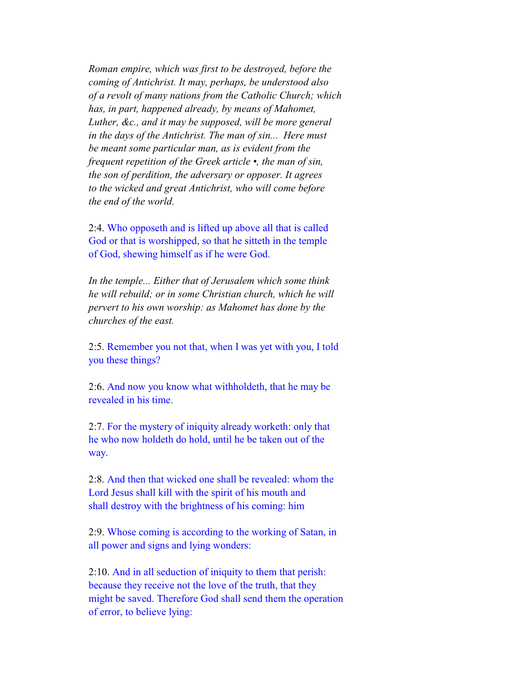*Roman empire, which was first to be destroyed, before the coming of Antichrist. It may, perhaps, be understood also of a revolt of many nations from the Catholic Church; which has, in part, happened already, by means of Mahomet, Luther, &c., and it may be supposed, will be more general in the days of the Antichrist. The man of sin... Here must be meant some particular man, as is evident from the frequent repetition of the Greek article •, the man of sin, the son of perdition, the adversary or opposer. It agrees to the wicked and great Antichrist, who will come before the end of the world.*

 2:4. Who opposeth and is lifted up above all that is called God or that is worshipped, so that he sitteth in the temple of God, shewing himself as if he were God.

 *In the temple... Either that of Jerusalem which some think he will rebuild; or in some Christian church, which he will pervert to his own worship: as Mahomet has done by the churches of the east.*

 2:5. Remember you not that, when I was yet with you, I told you these things?

 2:6. And now you know what withholdeth, that he may be revealed in his time.

 2:7. For the mystery of iniquity already worketh: only that he who now holdeth do hold, until he be taken out of the way.

 2:8. And then that wicked one shall be revealed: whom the Lord Jesus shall kill with the spirit of his mouth and shall destroy with the brightness of his coming: him

 2:9. Whose coming is according to the working of Satan, in all power and signs and lying wonders:

 2:10. And in all seduction of iniquity to them that perish: because they receive not the love of the truth, that they might be saved. Therefore God shall send them the operation of error, to believe lying: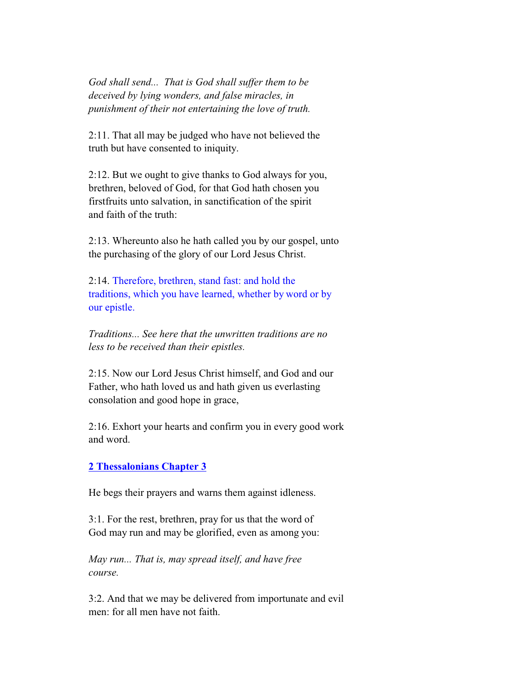*God shall send... That is God shall suffer them to be deceived by lying wonders, and false miracles, in punishment of their not entertaining the love of truth.*

 2:11. That all may be judged who have not believed the truth but have consented to iniquity.

 2:12. But we ought to give thanks to God always for you, brethren, beloved of God, for that God hath chosen you firstfruits unto salvation, in sanctification of the spirit and faith of the truth:

 2:13. Whereunto also he hath called you by our gospel, unto the purchasing of the glory of our Lord Jesus Christ.

 2:14. Therefore, brethren, stand fast: and hold the traditions, which you have learned, whether by word or by our epistle.

 *Traditions... See here that the unwritten traditions are no less to be received than their epistles.*

 2:15. Now our Lord Jesus Christ himself, and God and our Father, who hath loved us and hath given us everlasting consolation and good hope in grace,

 2:16. Exhort your hearts and confirm you in every good work and word.

#### **2 Thessalonians Chapter 3**

He begs their prayers and warns them against idleness.

 3:1. For the rest, brethren, pray for us that the word of God may run and may be glorified, even as among you:

 *May run... That is, may spread itself, and have free course.*

 3:2. And that we may be delivered from importunate and evil men: for all men have not faith.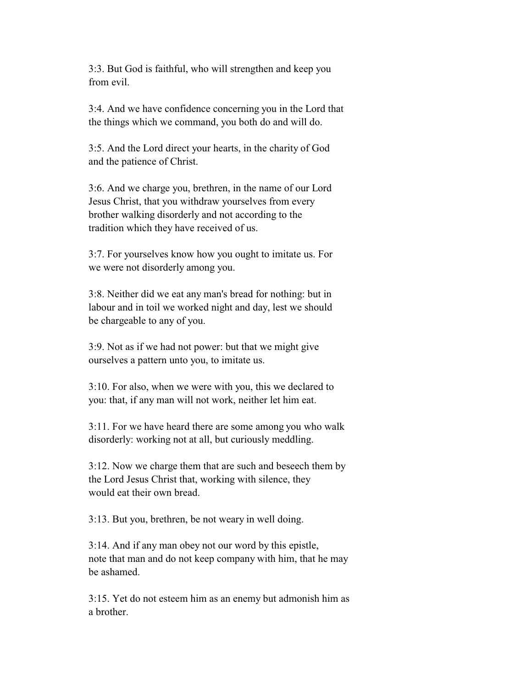3:3. But God is faithful, who will strengthen and keep you from evil.

 3:4. And we have confidence concerning you in the Lord that the things which we command, you both do and will do.

 3:5. And the Lord direct your hearts, in the charity of God and the patience of Christ.

 3:6. And we charge you, brethren, in the name of our Lord Jesus Christ, that you withdraw yourselves from every brother walking disorderly and not according to the tradition which they have received of us.

 3:7. For yourselves know how you ought to imitate us. For we were not disorderly among you.

 3:8. Neither did we eat any man's bread for nothing: but in labour and in toil we worked night and day, lest we should be chargeable to any of you.

 3:9. Not as if we had not power: but that we might give ourselves a pattern unto you, to imitate us.

 3:10. For also, when we were with you, this we declared to you: that, if any man will not work, neither let him eat.

 3:11. For we have heard there are some among you who walk disorderly: working not at all, but curiously meddling.

 3:12. Now we charge them that are such and beseech them by the Lord Jesus Christ that, working with silence, they would eat their own bread.

3:13. But you, brethren, be not weary in well doing.

 3:14. And if any man obey not our word by this epistle, note that man and do not keep company with him, that he may be ashamed.

 3:15. Yet do not esteem him as an enemy but admonish him as a brother.